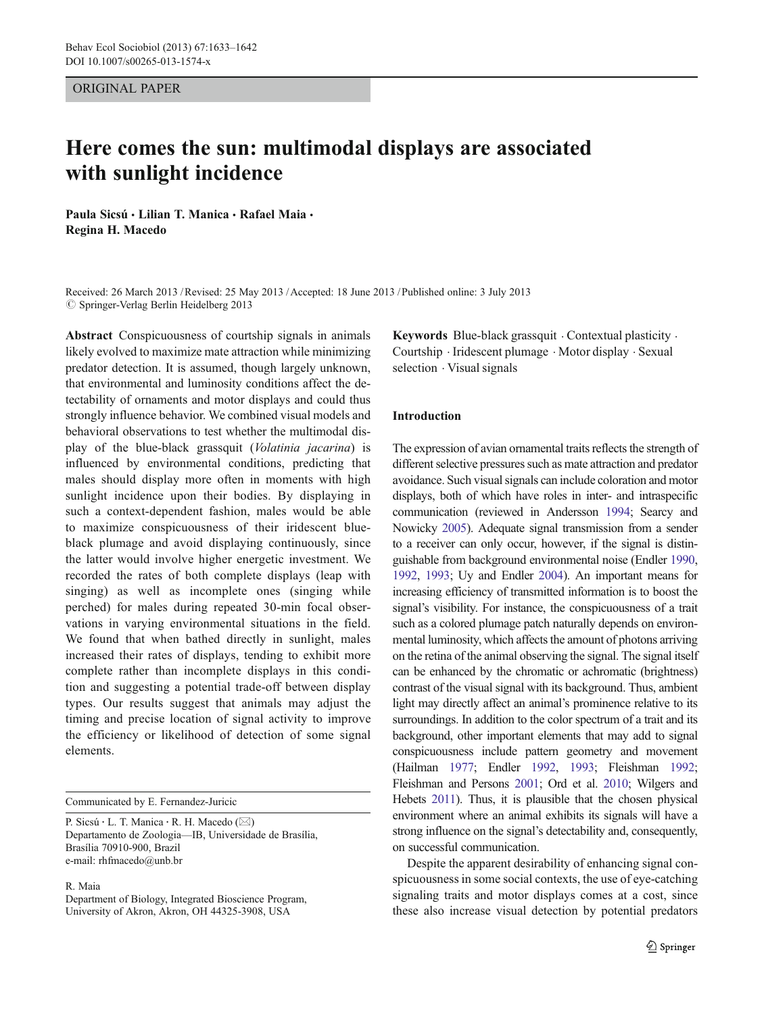## ORIGINAL PAPER

# Here comes the sun: multimodal displays are associated with sunlight incidence

Paula Sicsú · Lilian T. Manica · Rafael Maia · Regina H. Macedo

Received: 26 March 2013 /Revised: 25 May 2013 /Accepted: 18 June 2013 / Published online: 3 July 2013  $\oslash$  Springer-Verlag Berlin Heidelberg 2013

Abstract Conspicuousness of courtship signals in animals likely evolved to maximize mate attraction while minimizing predator detection. It is assumed, though largely unknown, that environmental and luminosity conditions affect the detectability of ornaments and motor displays and could thus strongly influence behavior. We combined visual models and behavioral observations to test whether the multimodal display of the blue-black grassquit (Volatinia jacarina) is influenced by environmental conditions, predicting that males should display more often in moments with high sunlight incidence upon their bodies. By displaying in such a context-dependent fashion, males would be able to maximize conspicuousness of their iridescent blueblack plumage and avoid displaying continuously, since the latter would involve higher energetic investment. We recorded the rates of both complete displays (leap with singing) as well as incomplete ones (singing while perched) for males during repeated 30-min focal observations in varying environmental situations in the field. We found that when bathed directly in sunlight, males increased their rates of displays, tending to exhibit more complete rather than incomplete displays in this condition and suggesting a potential trade-off between display types. Our results suggest that animals may adjust the timing and precise location of signal activity to improve the efficiency or likelihood of detection of some signal elements.

Communicated by E. Fernandez-Juricic

P. Sicsú · L. T. Manica · R. H. Macedo  $(\boxtimes)$ Departamento de Zoologia—IB, Universidade de Brasília, Brasília 70910-900, Brazil e-mail: rhfmacedo@unb.br

R. Maia

Department of Biology, Integrated Bioscience Program, University of Akron, Akron, OH 44325-3908, USA

Keywords Blue-black grassquit  $\cdot$  Contextual plasticity  $\cdot$ Courtship . Iridescent plumage . Motor display . Sexual selection . Visual signals

## Introduction

The expression of avian ornamental traits reflects the strength of different selective pressures such as mate attraction and predator avoidance. Such visual signals can include coloration and motor displays, both of which have roles in inter- and intraspecific communication (reviewed in Andersson [1994](#page-7-0); Searcy and Nowicky [2005\)](#page-9-0). Adequate signal transmission from a sender to a receiver can only occur, however, if the signal is distinguishable from background environmental noise (Endler [1990,](#page-8-0) [1992](#page-8-0), [1993;](#page-8-0) Uy and Endler [2004](#page-9-0)). An important means for increasing efficiency of transmitted information is to boost the signal's visibility. For instance, the conspicuousness of a trait such as a colored plumage patch naturally depends on environmental luminosity, which affects the amount of photons arriving on the retina of the animal observing the signal. The signal itself can be enhanced by the chromatic or achromatic (brightness) contrast of the visual signal with its background. Thus, ambient light may directly affect an animal's prominence relative to its surroundings. In addition to the color spectrum of a trait and its background, other important elements that may add to signal conspicuousness include pattern geometry and movement (Hailman [1977](#page-8-0); Endler [1992](#page-8-0), [1993](#page-8-0); Fleishman [1992;](#page-8-0) Fleishman and Persons [2001;](#page-8-0) Ord et al. [2010;](#page-9-0) Wilgers and Hebets [2011](#page-9-0)). Thus, it is plausible that the chosen physical environment where an animal exhibits its signals will have a strong influence on the signal's detectability and, consequently, on successful communication.

Despite the apparent desirability of enhancing signal conspicuousness in some social contexts, the use of eye-catching signaling traits and motor displays comes at a cost, since these also increase visual detection by potential predators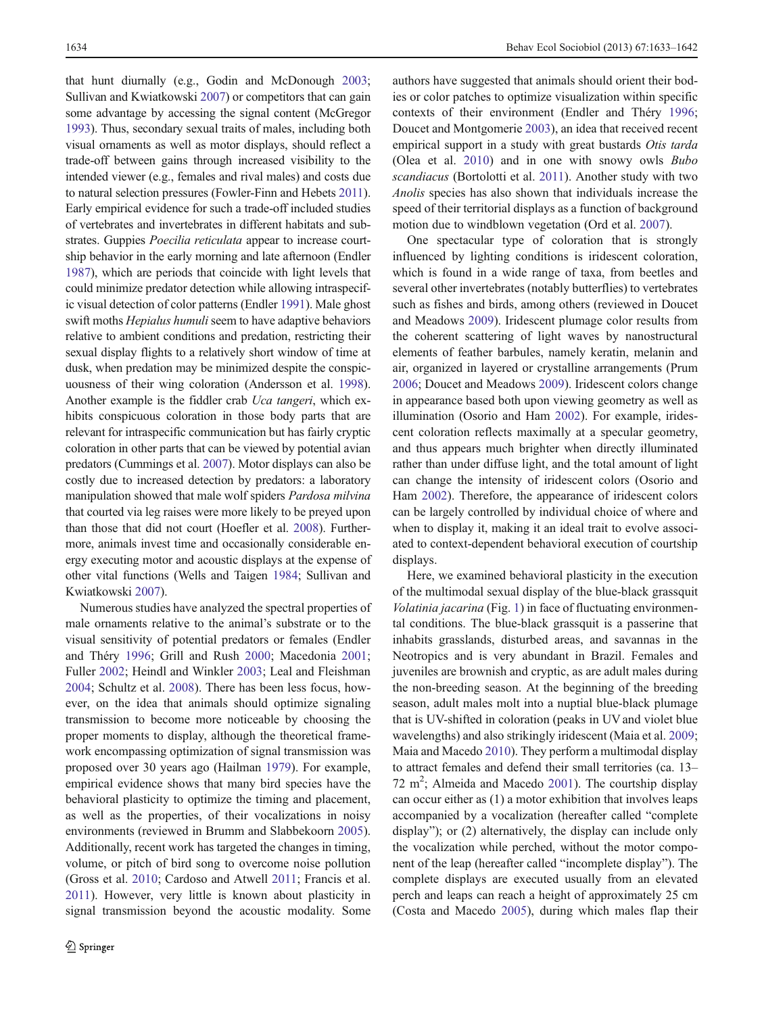that hunt diurnally (e.g., Godin and McDonough [2003](#page-8-0); Sullivan and Kwiatkowski [2007\)](#page-9-0) or competitors that can gain some advantage by accessing the signal content (McGregor [1993\)](#page-8-0). Thus, secondary sexual traits of males, including both visual ornaments as well as motor displays, should reflect a trade-off between gains through increased visibility to the intended viewer (e.g., females and rival males) and costs due to natural selection pressures (Fowler-Finn and Hebets [2011\)](#page-8-0). Early empirical evidence for such a trade-off included studies of vertebrates and invertebrates in different habitats and substrates. Guppies Poecilia reticulata appear to increase courtship behavior in the early morning and late afternoon (Endler [1987\)](#page-8-0), which are periods that coincide with light levels that could minimize predator detection while allowing intraspecific visual detection of color patterns (Endler [1991](#page-8-0)). Male ghost swift moths *Hepialus humuli* seem to have adaptive behaviors relative to ambient conditions and predation, restricting their sexual display flights to a relatively short window of time at dusk, when predation may be minimized despite the conspicuousness of their wing coloration (Andersson et al. [1998\)](#page-7-0). Another example is the fiddler crab Uca tangeri, which exhibits conspicuous coloration in those body parts that are relevant for intraspecific communication but has fairly cryptic coloration in other parts that can be viewed by potential avian predators (Cummings et al. [2007\)](#page-8-0). Motor displays can also be costly due to increased detection by predators: a laboratory manipulation showed that male wolf spiders Pardosa milvina that courted via leg raises were more likely to be preyed upon than those that did not court (Hoefler et al. [2008](#page-8-0)). Furthermore, animals invest time and occasionally considerable energy executing motor and acoustic displays at the expense of other vital functions (Wells and Taigen [1984](#page-9-0); Sullivan and Kwiatkowski [2007](#page-9-0)).

Numerous studies have analyzed the spectral properties of male ornaments relative to the animal's substrate or to the visual sensitivity of potential predators or females (Endler and Théry [1996;](#page-8-0) Grill and Rush [2000](#page-8-0); Macedonia [2001](#page-8-0); Fuller [2002](#page-8-0); Heindl and Winkler [2003;](#page-8-0) Leal and Fleishman [2004;](#page-8-0) Schultz et al. [2008\)](#page-9-0). There has been less focus, however, on the idea that animals should optimize signaling transmission to become more noticeable by choosing the proper moments to display, although the theoretical framework encompassing optimization of signal transmission was proposed over 30 years ago (Hailman [1979](#page-8-0)). For example, empirical evidence shows that many bird species have the behavioral plasticity to optimize the timing and placement, as well as the properties, of their vocalizations in noisy environments (reviewed in Brumm and Slabbekoorn [2005](#page-8-0)). Additionally, recent work has targeted the changes in timing, volume, or pitch of bird song to overcome noise pollution (Gross et al. [2010](#page-8-0); Cardoso and Atwell [2011;](#page-8-0) Francis et al. [2011\)](#page-8-0). However, very little is known about plasticity in signal transmission beyond the acoustic modality. Some

authors have suggested that animals should orient their bodies or color patches to optimize visualization within specific contexts of their environment (Endler and Théry [1996;](#page-8-0) Doucet and Montgomerie [2003\)](#page-8-0), an idea that received recent empirical support in a study with great bustards Otis tarda (Olea et al. [2010\)](#page-8-0) and in one with snowy owls Bubo scandiacus (Bortolotti et al. [2011](#page-8-0)). Another study with two Anolis species has also shown that individuals increase the speed of their territorial displays as a function of background motion due to windblown vegetation (Ord et al. [2007\)](#page-8-0).

One spectacular type of coloration that is strongly influenced by lighting conditions is iridescent coloration, which is found in a wide range of taxa, from beetles and several other invertebrates (notably butterflies) to vertebrates such as fishes and birds, among others (reviewed in Doucet and Meadows [2009](#page-8-0)). Iridescent plumage color results from the coherent scattering of light waves by nanostructural elements of feather barbules, namely keratin, melanin and air, organized in layered or crystalline arrangements (Prum [2006](#page-9-0); Doucet and Meadows [2009](#page-8-0)). Iridescent colors change in appearance based both upon viewing geometry as well as illumination (Osorio and Ham [2002\)](#page-9-0). For example, iridescent coloration reflects maximally at a specular geometry, and thus appears much brighter when directly illuminated rather than under diffuse light, and the total amount of light can change the intensity of iridescent colors (Osorio and Ham [2002\)](#page-9-0). Therefore, the appearance of iridescent colors can be largely controlled by individual choice of where and when to display it, making it an ideal trait to evolve associated to context-dependent behavioral execution of courtship displays.

Here, we examined behavioral plasticity in the execution of the multimodal sexual display of the blue-black grassquit Volatinia jacarina (Fig. [1](#page-2-0)) in face of fluctuating environmental conditions. The blue-black grassquit is a passerine that inhabits grasslands, disturbed areas, and savannas in the Neotropics and is very abundant in Brazil. Females and juveniles are brownish and cryptic, as are adult males during the non-breeding season. At the beginning of the breeding season, adult males molt into a nuptial blue-black plumage that is UV-shifted in coloration (peaks in UV and violet blue wavelengths) and also strikingly iridescent (Maia et al. [2009;](#page-8-0) Maia and Macedo [2010](#page-8-0)). They perform a multimodal display to attract females and defend their small territories (ca. 13– 72 m<sup>2</sup>; Almeida and Macedo [2001\)](#page-7-0). The courtship display can occur either as (1) a motor exhibition that involves leaps accompanied by a vocalization (hereafter called "complete display"); or (2) alternatively, the display can include only the vocalization while perched, without the motor component of the leap (hereafter called "incomplete display"). The complete displays are executed usually from an elevated perch and leaps can reach a height of approximately 25 cm (Costa and Macedo [2005\)](#page-8-0), during which males flap their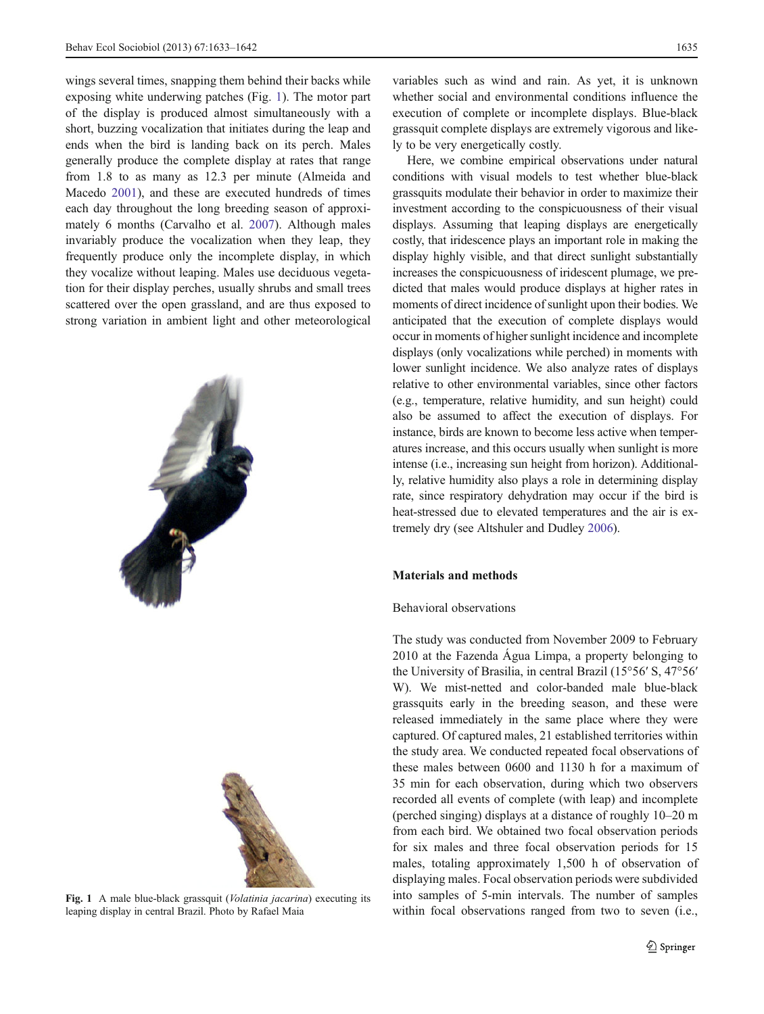<span id="page-2-0"></span>wings several times, snapping them behind their backs while exposing white underwing patches (Fig. 1). The motor part of the display is produced almost simultaneously with a short, buzzing vocalization that initiates during the leap and ends when the bird is landing back on its perch. Males generally produce the complete display at rates that range from 1.8 to as many as 12.3 per minute (Almeida and Macedo [2001](#page-7-0)), and these are executed hundreds of times each day throughout the long breeding season of approximately 6 months (Carvalho et al. [2007](#page-8-0)). Although males invariably produce the vocalization when they leap, they frequently produce only the incomplete display, in which they vocalize without leaping. Males use deciduous vegetation for their display perches, usually shrubs and small trees scattered over the open grassland, and are thus exposed to strong variation in ambient light and other meteorological





Fig. 1 A male blue-black grassquit (*Volatinia jacarina*) executing its leaping display in central Brazil. Photo by Rafael Maia

variables such as wind and rain. As yet, it is unknown whether social and environmental conditions influence the execution of complete or incomplete displays. Blue-black grassquit complete displays are extremely vigorous and likely to be very energetically costly.

Here, we combine empirical observations under natural conditions with visual models to test whether blue-black grassquits modulate their behavior in order to maximize their investment according to the conspicuousness of their visual displays. Assuming that leaping displays are energetically costly, that iridescence plays an important role in making the display highly visible, and that direct sunlight substantially increases the conspicuousness of iridescent plumage, we predicted that males would produce displays at higher rates in moments of direct incidence of sunlight upon their bodies. We anticipated that the execution of complete displays would occur in moments of higher sunlight incidence and incomplete displays (only vocalizations while perched) in moments with lower sunlight incidence. We also analyze rates of displays relative to other environmental variables, since other factors (e.g., temperature, relative humidity, and sun height) could also be assumed to affect the execution of displays. For instance, birds are known to become less active when temperatures increase, and this occurs usually when sunlight is more intense (i.e., increasing sun height from horizon). Additionally, relative humidity also plays a role in determining display rate, since respiratory dehydration may occur if the bird is heat-stressed due to elevated temperatures and the air is extremely dry (see Altshuler and Dudley [2006\)](#page-7-0).

# Materials and methods

# Behavioral observations

The study was conducted from November 2009 to February 2010 at the Fazenda Água Limpa, a property belonging to the University of Brasilia, in central Brazil (15°56′ S, 47°56′ W). We mist-netted and color-banded male blue-black grassquits early in the breeding season, and these were released immediately in the same place where they were captured. Of captured males, 21 established territories within the study area. We conducted repeated focal observations of these males between 0600 and 1130 h for a maximum of 35 min for each observation, during which two observers recorded all events of complete (with leap) and incomplete (perched singing) displays at a distance of roughly 10–20 m from each bird. We obtained two focal observation periods for six males and three focal observation periods for 15 males, totaling approximately 1,500 h of observation of displaying males. Focal observation periods were subdivided into samples of 5-min intervals. The number of samples within focal observations ranged from two to seven (i.e.,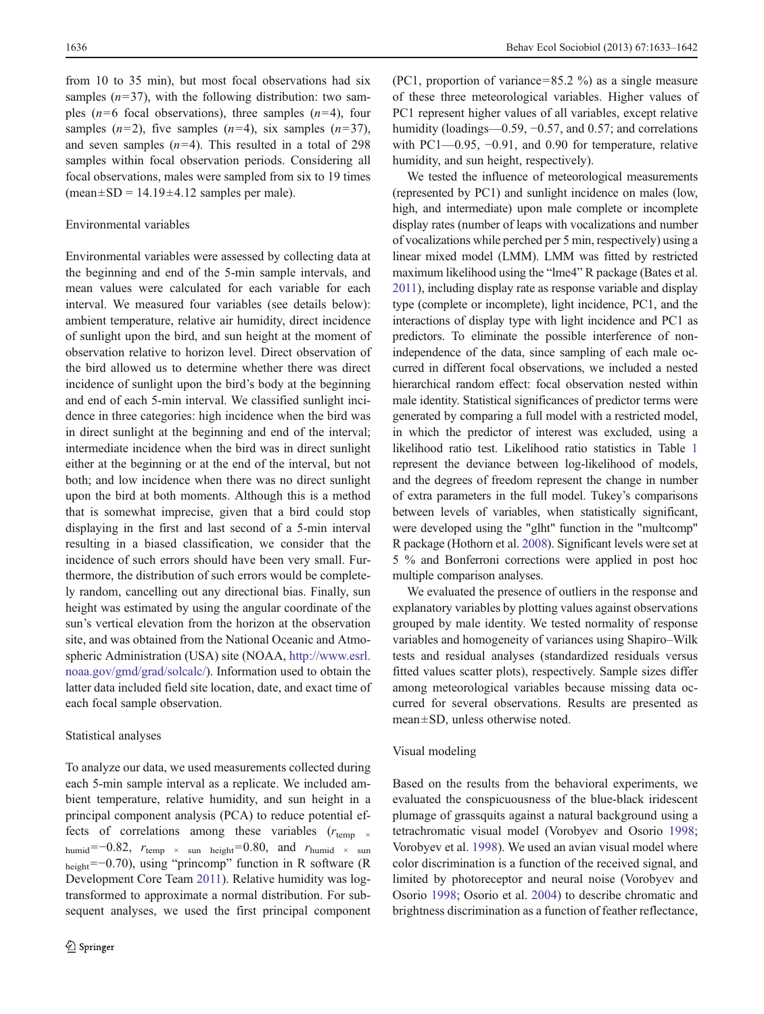from 10 to 35 min), but most focal observations had six samples  $(n=37)$ , with the following distribution: two samples ( $n=6$  focal observations), three samples ( $n=4$ ), four samples  $(n=2)$ , five samples  $(n=4)$ , six samples  $(n=37)$ , and seven samples  $(n=4)$ . This resulted in a total of 298 samples within focal observation periods. Considering all focal observations, males were sampled from six to 19 times  $mean \pm SD = 14.19 \pm 4.12$  samples per male).

### Environmental variables

Environmental variables were assessed by collecting data at the beginning and end of the 5-min sample intervals, and mean values were calculated for each variable for each interval. We measured four variables (see details below): ambient temperature, relative air humidity, direct incidence of sunlight upon the bird, and sun height at the moment of observation relative to horizon level. Direct observation of the bird allowed us to determine whether there was direct incidence of sunlight upon the bird's body at the beginning and end of each 5-min interval. We classified sunlight incidence in three categories: high incidence when the bird was in direct sunlight at the beginning and end of the interval; intermediate incidence when the bird was in direct sunlight either at the beginning or at the end of the interval, but not both; and low incidence when there was no direct sunlight upon the bird at both moments. Although this is a method that is somewhat imprecise, given that a bird could stop displaying in the first and last second of a 5-min interval resulting in a biased classification, we consider that the incidence of such errors should have been very small. Furthermore, the distribution of such errors would be completely random, cancelling out any directional bias. Finally, sun height was estimated by using the angular coordinate of the sun's vertical elevation from the horizon at the observation site, and was obtained from the National Oceanic and Atmospheric Administration (USA) site (NOAA, [http://www.esrl.](http://www.esrl.noaa.gov/gmd/grad/solcalc/) [noaa.gov/gmd/grad/solcalc/\)](http://www.esrl.noaa.gov/gmd/grad/solcalc/). Information used to obtain the latter data included field site location, date, and exact time of each focal sample observation.

#### Statistical analyses

To analyze our data, we used measurements collected during each 5-min sample interval as a replicate. We included ambient temperature, relative humidity, and sun height in a principal component analysis (PCA) to reduce potential effects of correlations among these variables  $(r_{\text{temp}} \times$ humid<sup>=−0.82,</sup>  $r_{temp} \times$  sun height<sup>=0.80</sup>, and  $r_{humid} \times$  sun height=−0.70), using "princomp" function in R software (R Development Core Team [2011\)](#page-9-0). Relative humidity was logtransformed to approximate a normal distribution. For subsequent analyses, we used the first principal component (PC1, proportion of variance=85.2 %) as a single measure of these three meteorological variables. Higher values of PC1 represent higher values of all variables, except relative humidity (loadings—0.59, −0.57, and 0.57; and correlations with PC1—0.95,  $-0.91$ , and 0.90 for temperature, relative humidity, and sun height, respectively).

We tested the influence of meteorological measurements (represented by PC1) and sunlight incidence on males (low, high, and intermediate) upon male complete or incomplete display rates (number of leaps with vocalizations and number of vocalizations while perched per 5 min, respectively) using a linear mixed model (LMM). LMM was fitted by restricted maximum likelihood using the "lme4" R package (Bates et al. [2011](#page-8-0)), including display rate as response variable and display type (complete or incomplete), light incidence, PC1, and the interactions of display type with light incidence and PC1 as predictors. To eliminate the possible interference of nonindependence of the data, since sampling of each male occurred in different focal observations, we included a nested hierarchical random effect: focal observation nested within male identity. Statistical significances of predictor terms were generated by comparing a full model with a restricted model, in which the predictor of interest was excluded, using a likelihood ratio test. Likelihood ratio statistics in Table [1](#page-4-0) represent the deviance between log-likelihood of models, and the degrees of freedom represent the change in number of extra parameters in the full model. Tukey's comparisons between levels of variables, when statistically significant, were developed using the "glht" function in the "multcomp" R package (Hothorn et al. [2008\)](#page-8-0). Significant levels were set at 5 % and Bonferroni corrections were applied in post hoc multiple comparison analyses.

We evaluated the presence of outliers in the response and explanatory variables by plotting values against observations grouped by male identity. We tested normality of response variables and homogeneity of variances using Shapiro–Wilk tests and residual analyses (standardized residuals versus fitted values scatter plots), respectively. Sample sizes differ among meteorological variables because missing data occurred for several observations. Results are presented as mean±SD, unless otherwise noted.

# Visual modeling

Based on the results from the behavioral experiments, we evaluated the conspicuousness of the blue-black iridescent plumage of grassquits against a natural background using a tetrachromatic visual model (Vorobyev and Osorio [1998;](#page-9-0) Vorobyev et al. [1998](#page-9-0)). We used an avian visual model where color discrimination is a function of the received signal, and limited by photoreceptor and neural noise (Vorobyev and Osorio [1998](#page-9-0); Osorio et al. [2004](#page-9-0)) to describe chromatic and brightness discrimination as a function of feather reflectance,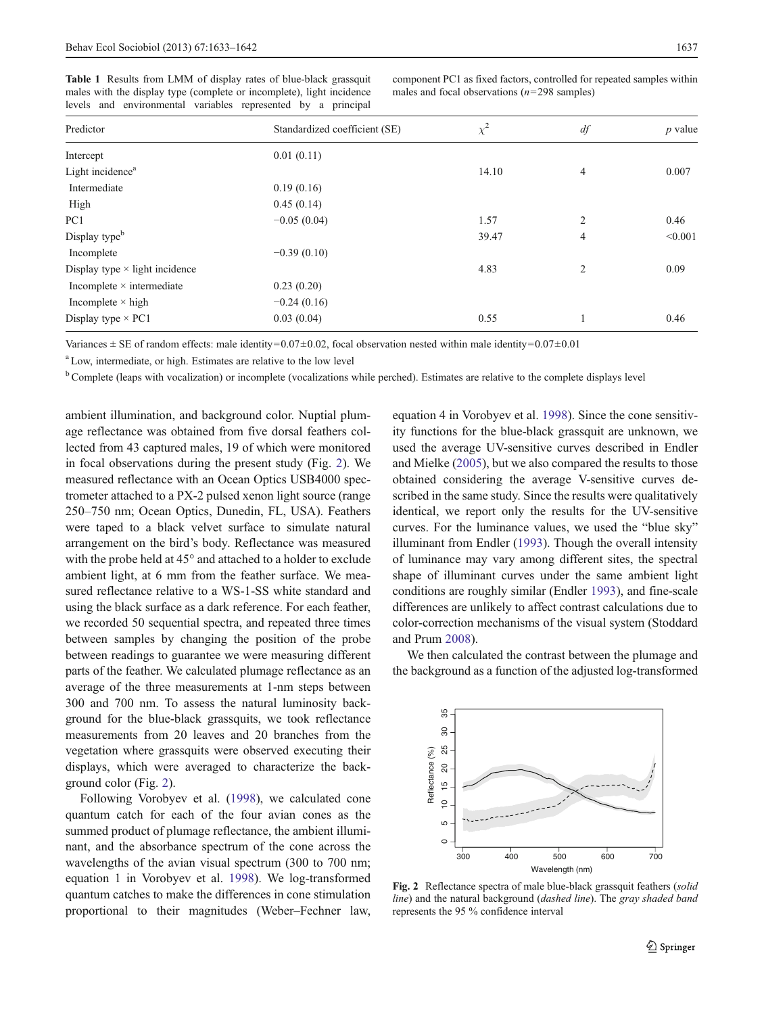<span id="page-4-0"></span>Table 1 Results from LMM of display rates of blue-black grassquit males with the display type (complete or incomplete), light incidence levels and environmental variables represented by a principal component PC1 as fixed factors, controlled for repeated samples within males and focal observations  $(n=298 \text{ samples})$ 

| Predictor                             | Standardized coefficient (SE) | $\chi^2$ | $df$           | $p$ value |
|---------------------------------------|-------------------------------|----------|----------------|-----------|
| Intercept                             | 0.01(0.11)                    |          |                |           |
| Light incidence <sup>a</sup>          |                               | 14.10    | $\overline{4}$ | 0.007     |
| Intermediate                          | 0.19(0.16)                    |          |                |           |
| High                                  | 0.45(0.14)                    |          |                |           |
| PC <sub>1</sub>                       | $-0.05(0.04)$                 | 1.57     | $\overline{2}$ | 0.46      |
| Display type <sup>b</sup>             |                               | 39.47    | $\overline{4}$ | < 0.001   |
| Incomplete                            | $-0.39(0.10)$                 |          |                |           |
| Display type $\times$ light incidence |                               | 4.83     | 2              | 0.09      |
| Incomplete $\times$ intermediate      | 0.23(0.20)                    |          |                |           |
| Incomplete $\times$ high              | $-0.24(0.16)$                 |          |                |           |
| Display type $\times$ PC1             | 0.03(0.04)                    | 0.55     |                | 0.46      |
|                                       |                               |          |                |           |

Variances  $\pm$  SE of random effects: male identity=0.07 $\pm$ 0.02, focal observation nested within male identity=0.07 $\pm$ 0.01

<sup>a</sup> Low, intermediate, or high. Estimates are relative to the low level

<sup>b</sup> Complete (leaps with vocalization) or incomplete (vocalizations while perched). Estimates are relative to the complete displays level

ambient illumination, and background color. Nuptial plumage reflectance was obtained from five dorsal feathers collected from 43 captured males, 19 of which were monitored in focal observations during the present study (Fig. 2). We measured reflectance with an Ocean Optics USB4000 spectrometer attached to a PX-2 pulsed xenon light source (range 250–750 nm; Ocean Optics, Dunedin, FL, USA). Feathers were taped to a black velvet surface to simulate natural arrangement on the bird's body. Reflectance was measured with the probe held at 45° and attached to a holder to exclude ambient light, at 6 mm from the feather surface. We measured reflectance relative to a WS-1-SS white standard and using the black surface as a dark reference. For each feather, we recorded 50 sequential spectra, and repeated three times between samples by changing the position of the probe between readings to guarantee we were measuring different parts of the feather. We calculated plumage reflectance as an average of the three measurements at 1-nm steps between 300 and 700 nm. To assess the natural luminosity background for the blue-black grassquits, we took reflectance measurements from 20 leaves and 20 branches from the vegetation where grassquits were observed executing their displays, which were averaged to characterize the background color (Fig. 2).

Following Vorobyev et al. ([1998\)](#page-9-0), we calculated cone quantum catch for each of the four avian cones as the summed product of plumage reflectance, the ambient illuminant, and the absorbance spectrum of the cone across the wavelengths of the avian visual spectrum (300 to 700 nm; equation 1 in Vorobyev et al. [1998](#page-9-0)). We log-transformed quantum catches to make the differences in cone stimulation proportional to their magnitudes (Weber–Fechner law, equation 4 in Vorobyev et al. [1998\)](#page-9-0). Since the cone sensitivity functions for the blue-black grassquit are unknown, we used the average UV-sensitive curves described in Endler and Mielke ([2005\)](#page-8-0), but we also compared the results to those obtained considering the average V-sensitive curves described in the same study. Since the results were qualitatively identical, we report only the results for the UV-sensitive curves. For the luminance values, we used the "blue sky" illuminant from Endler [\(1993](#page-8-0)). Though the overall intensity of luminance may vary among different sites, the spectral shape of illuminant curves under the same ambient light conditions are roughly similar (Endler [1993\)](#page-8-0), and fine-scale differences are unlikely to affect contrast calculations due to color-correction mechanisms of the visual system (Stoddard and Prum [2008](#page-9-0)).

We then calculated the contrast between the plumage and the background as a function of the adjusted log-transformed



Fig. 2 Reflectance spectra of male blue-black grassquit feathers (solid line) and the natural background (dashed line). The gray shaded band represents the 95 % confidence interval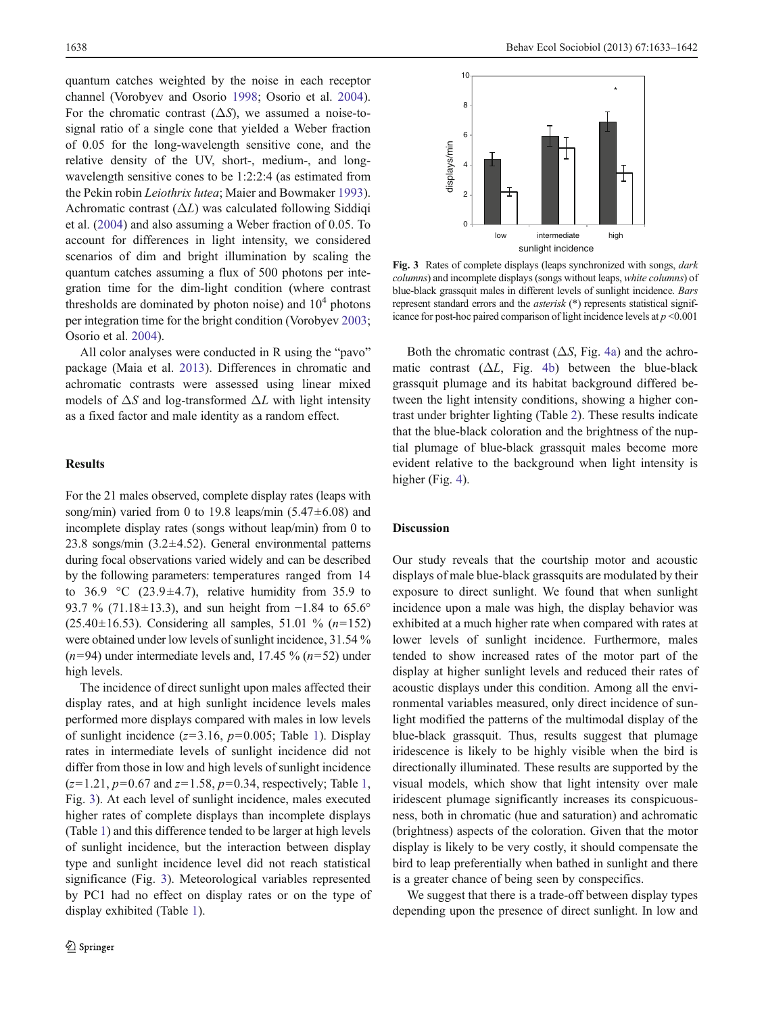quantum catches weighted by the noise in each receptor channel (Vorobyev and Osorio [1998;](#page-9-0) Osorio et al. [2004](#page-9-0)). For the chromatic contrast  $(\Delta S)$ , we assumed a noise-tosignal ratio of a single cone that yielded a Weber fraction of 0.05 for the long-wavelength sensitive cone, and the relative density of the UV, short-, medium-, and longwavelength sensitive cones to be 1:2:2:4 (as estimated from the Pekin robin Leiothrix lutea; Maier and Bowmaker [1993](#page-8-0)). Achromatic contrast  $(\Delta L)$  was calculated following Siddiqi et al. [\(2004\)](#page-9-0) and also assuming a Weber fraction of 0.05. To account for differences in light intensity, we considered scenarios of dim and bright illumination by scaling the quantum catches assuming a flux of 500 photons per integration time for the dim-light condition (where contrast thresholds are dominated by photon noise) and  $10<sup>4</sup>$  photons per integration time for the bright condition (Vorobyev [2003](#page-9-0); Osorio et al. [2004\)](#page-9-0).

All color analyses were conducted in R using the "pavo" package (Maia et al. [2013\)](#page-8-0). Differences in chromatic and achromatic contrasts were assessed using linear mixed models of  $\Delta S$  and log-transformed  $\Delta L$  with light intensity as a fixed factor and male identity as a random effect.

# **Results**

For the 21 males observed, complete display rates (leaps with song/min) varied from 0 to 19.8 leaps/min  $(5.47 \pm 6.08)$  and incomplete display rates (songs without leap/min) from 0 to 23.8 songs/min (3.2±4.52). General environmental patterns during focal observations varied widely and can be described by the following parameters: temperatures ranged from 14 to 36.9 °C (23.9 $\pm$ 4.7), relative humidity from 35.9 to 93.7 % (71.18±13.3), and sun height from −1.84 to 65.6°  $(25.40 \pm 16.53)$ . Considering all samples, 51.01 %  $(n=152)$ were obtained under low levels of sunlight incidence, 31.54 %  $(n=94)$  under intermediate levels and, 17.45 %  $(n=52)$  under high levels.

The incidence of direct sunlight upon males affected their display rates, and at high sunlight incidence levels males performed more displays compared with males in low levels of sunlight incidence  $(z=3.16, p=0.005;$  $(z=3.16, p=0.005;$  $(z=3.16, p=0.005;$  Table 1). Display rates in intermediate levels of sunlight incidence did not differ from those in low and high levels of sunlight incidence  $(z=1.21, p=0.67 \text{ and } z=1.58, p=0.34, \text{ respectively};$  $(z=1.21, p=0.67 \text{ and } z=1.58, p=0.34, \text{ respectively};$  $(z=1.21, p=0.67 \text{ and } z=1.58, p=0.34, \text{ respectively};$  Table 1, Fig. 3). At each level of sunlight incidence, males executed higher rates of complete displays than incomplete displays (Table [1](#page-4-0)) and this difference tended to be larger at high levels of sunlight incidence, but the interaction between display type and sunlight incidence level did not reach statistical significance (Fig. 3). Meteorological variables represented by PC1 had no effect on display rates or on the type of display exhibited (Table [1\)](#page-4-0).



Fig. 3 Rates of complete displays (leaps synchronized with songs, dark columns) and incomplete displays (songs without leaps, white columns) of blue-black grassquit males in different levels of sunlight incidence. Bars represent standard errors and the asterisk (\*) represents statistical significance for post-hoc paired comparison of light incidence levels at  $p \le 0.001$ 

Both the chromatic contrast  $(\Delta S, Fig. 4a)$  $(\Delta S, Fig. 4a)$  and the achromatic contrast  $(\Delta L,$  Fig. [4b\)](#page-6-0) between the blue-black grassquit plumage and its habitat background differed between the light intensity conditions, showing a higher contrast under brighter lighting (Table [2](#page-6-0)). These results indicate that the blue-black coloration and the brightness of the nuptial plumage of blue-black grassquit males become more evident relative to the background when light intensity is higher (Fig. [4\)](#page-6-0).

## Discussion

Our study reveals that the courtship motor and acoustic displays of male blue-black grassquits are modulated by their exposure to direct sunlight. We found that when sunlight incidence upon a male was high, the display behavior was exhibited at a much higher rate when compared with rates at lower levels of sunlight incidence. Furthermore, males tended to show increased rates of the motor part of the display at higher sunlight levels and reduced their rates of acoustic displays under this condition. Among all the environmental variables measured, only direct incidence of sunlight modified the patterns of the multimodal display of the blue-black grassquit. Thus, results suggest that plumage iridescence is likely to be highly visible when the bird is directionally illuminated. These results are supported by the visual models, which show that light intensity over male iridescent plumage significantly increases its conspicuousness, both in chromatic (hue and saturation) and achromatic (brightness) aspects of the coloration. Given that the motor display is likely to be very costly, it should compensate the bird to leap preferentially when bathed in sunlight and there is a greater chance of being seen by conspecifics.

We suggest that there is a trade-off between display types depending upon the presence of direct sunlight. In low and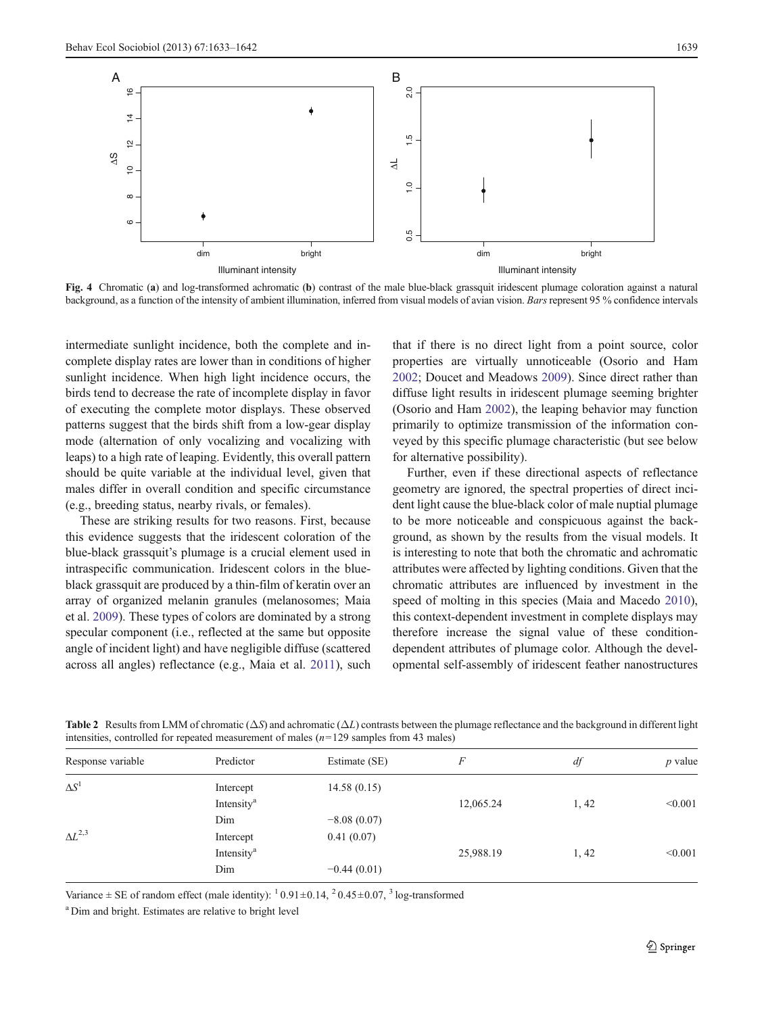<span id="page-6-0"></span>

Fig. 4 Chromatic (a) and log-transformed achromatic (b) contrast of the male blue-black grassquit iridescent plumage coloration against a natural background, as a function of the intensity of ambient illumination, inferred from visual models of avian vision. Bars represent 95 % confidence intervals

intermediate sunlight incidence, both the complete and incomplete display rates are lower than in conditions of higher sunlight incidence. When high light incidence occurs, the birds tend to decrease the rate of incomplete display in favor of executing the complete motor displays. These observed patterns suggest that the birds shift from a low-gear display mode (alternation of only vocalizing and vocalizing with leaps) to a high rate of leaping. Evidently, this overall pattern should be quite variable at the individual level, given that males differ in overall condition and specific circumstance (e.g., breeding status, nearby rivals, or females).

These are striking results for two reasons. First, because this evidence suggests that the iridescent coloration of the blue-black grassquit's plumage is a crucial element used in intraspecific communication. Iridescent colors in the blueblack grassquit are produced by a thin-film of keratin over an array of organized melanin granules (melanosomes; Maia et al. [2009](#page-8-0)). These types of colors are dominated by a strong specular component (i.e., reflected at the same but opposite angle of incident light) and have negligible diffuse (scattered across all angles) reflectance (e.g., Maia et al. [2011\)](#page-8-0), such

that if there is no direct light from a point source, color properties are virtually unnoticeable (Osorio and Ham [2002](#page-9-0); Doucet and Meadows [2009](#page-8-0)). Since direct rather than diffuse light results in iridescent plumage seeming brighter (Osorio and Ham [2002](#page-9-0)), the leaping behavior may function primarily to optimize transmission of the information conveyed by this specific plumage characteristic (but see below for alternative possibility).

Further, even if these directional aspects of reflectance geometry are ignored, the spectral properties of direct incident light cause the blue-black color of male nuptial plumage to be more noticeable and conspicuous against the background, as shown by the results from the visual models. It is interesting to note that both the chromatic and achromatic attributes were affected by lighting conditions. Given that the chromatic attributes are influenced by investment in the speed of molting in this species (Maia and Macedo [2010\)](#page-8-0), this context-dependent investment in complete displays may therefore increase the signal value of these conditiondependent attributes of plumage color. Although the developmental self-assembly influential intensity<br>and the self-assembly of intensity interest plumate intensity of the self-assemble of a state of the self-assemble of a state of the self-assemble of a state of the self-assembl

| Table 2 Results from LMM of chromatic $(\Delta S)$ and achromatic $(\Delta L)$ contrasts between the plumage reflectance and the background in different light |  |
|----------------------------------------------------------------------------------------------------------------------------------------------------------------|--|
| intensities, controlled for repeated measurement of males $(n=129)$ samples from 43 males)                                                                     |  |

| Response variable | Predictor              | Estimate (SE) | F         | df    | $p$ value |
|-------------------|------------------------|---------------|-----------|-------|-----------|
| $\Delta S^1$      | Intercept              | 14.58(0.15)   |           |       |           |
|                   | Intensity <sup>a</sup> |               | 12,065.24 | 1, 42 | < 0.001   |
|                   | Dim                    | $-8.08(0.07)$ |           |       |           |
| $\Delta L^{2,3}$  | Intercept              | 0.41(0.07)    |           |       |           |
|                   | Intensity <sup>a</sup> |               | 25,988.19 | 1, 42 | < 0.001   |
|                   | Dim                    | $-0.44(0.01)$ |           |       |           |
|                   |                        |               |           |       |           |

Variance  $\pm$  SE of random effect (male identity):  $10.91 \pm 0.14$ ,  $20.45 \pm 0.07$ ,  $3 \text{ log-transformed}$ 

<sup>a</sup> Dim and bright. Estimates are relative to bright level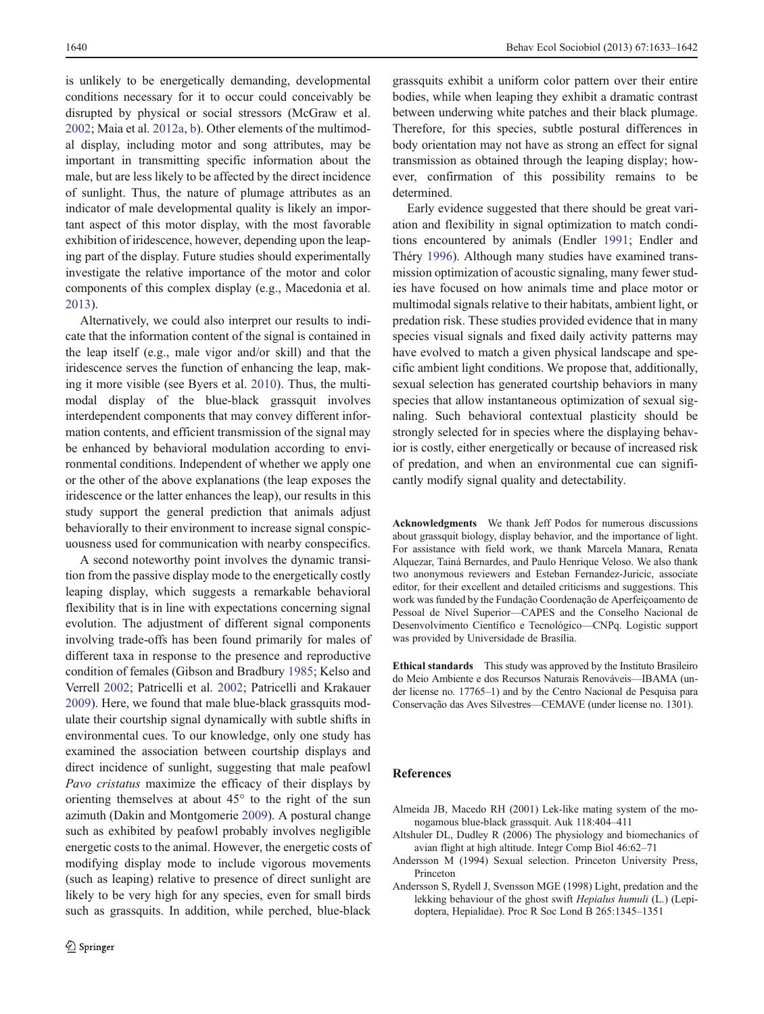<span id="page-7-0"></span>is unlikely to be energetically demanding, developmental conditions necessary for it to occur could conceivably be disrupted by physical or social stressors (McGraw et al. [2002;](#page-8-0) Maia et al. [2012a,](#page-8-0) [b](#page-8-0)). Other elements of the multimodal display, including motor and song attributes, may be important in transmitting specific information about the male, but are less likely to be affected by the direct incidence of sunlight. Thus, the nature of plumage attributes as an indicator of male developmental quality is likely an important aspect of this motor display, with the most favorable exhibition of iridescence, however, depending upon the leaping part of the display. Future studies should experimentally investigate the relative importance of the motor and color components of this complex display (e.g., Macedonia et al. [2013\)](#page-8-0).

Alternatively, we could also interpret our results to indicate that the information content of the signal is contained in the leap itself (e.g., male vigor and/or skill) and that the iridescence serves the function of enhancing the leap, making it more visible (see Byers et al. [2010\)](#page-8-0). Thus, the multimodal display of the blue-black grassquit involves interdependent components that may convey different information contents, and efficient transmission of the signal may be enhanced by behavioral modulation according to environmental conditions. Independent of whether we apply one or the other of the above explanations (the leap exposes the iridescence or the latter enhances the leap), our results in this study support the general prediction that animals adjust behaviorally to their environment to increase signal conspicuousness used for communication with nearby conspecifics.

A second noteworthy point involves the dynamic transition from the passive display mode to the energetically costly leaping display, which suggests a remarkable behavioral flexibility that is in line with expectations concerning signal evolution. The adjustment of different signal components involving trade-offs has been found primarily for males of different taxa in response to the presence and reproductive condition of females (Gibson and Bradbury [1985](#page-8-0); Kelso and Verrell [2002](#page-8-0); Patricelli et al. [2002;](#page-9-0) Patricelli and Krakauer [2009\)](#page-9-0). Here, we found that male blue-black grassquits modulate their courtship signal dynamically with subtle shifts in environmental cues. To our knowledge, only one study has examined the association between courtship displays and direct incidence of sunlight, suggesting that male peafowl Pavo cristatus maximize the efficacy of their displays by orienting themselves at about 45° to the right of the sun azimuth (Dakin and Montgomerie [2009\)](#page-8-0). A postural change such as exhibited by peafowl probably involves negligible energetic costs to the animal. However, the energetic costs of modifying display mode to include vigorous movements (such as leaping) relative to presence of direct sunlight are likely to be very high for any species, even for small birds such as grassquits. In addition, while perched, blue-black

grassquits exhibit a uniform color pattern over their entire bodies, while when leaping they exhibit a dramatic contrast between underwing white patches and their black plumage. Therefore, for this species, subtle postural differences in body orientation may not have as strong an effect for signal transmission as obtained through the leaping display; however, confirmation of this possibility remains to be determined.

Early evidence suggested that there should be great variation and flexibility in signal optimization to match conditions encountered by animals (Endler [1991](#page-8-0); Endler and Théry [1996\)](#page-8-0). Although many studies have examined transmission optimization of acoustic signaling, many fewer studies have focused on how animals time and place motor or multimodal signals relative to their habitats, ambient light, or predation risk. These studies provided evidence that in many species visual signals and fixed daily activity patterns may have evolved to match a given physical landscape and specific ambient light conditions. We propose that, additionally, sexual selection has generated courtship behaviors in many species that allow instantaneous optimization of sexual signaling. Such behavioral contextual plasticity should be strongly selected for in species where the displaying behavior is costly, either energetically or because of increased risk of predation, and when an environmental cue can significantly modify signal quality and detectability.

Acknowledgments We thank Jeff Podos for numerous discussions about grassquit biology, display behavior, and the importance of light. For assistance with field work, we thank Marcela Manara, Renata Alquezar, Tainá Bernardes, and Paulo Henrique Veloso. We also thank two anonymous reviewers and Esteban Fernandez-Juricic, associate editor, for their excellent and detailed criticisms and suggestions. This work was funded by the Fundação Coordenação de Aperfeiçoamento de Pessoal de Nível Superior—CAPES and the Conselho Nacional de Desenvolvimento Científico e Tecnológico—CNPq. Logistic support was provided by Universidade de Brasília.

Ethical standards This study was approved by the Instituto Brasileiro do Meio Ambiente e dos Recursos Naturais Renováveis—IBAMA (under license no. 17765–1) and by the Centro Nacional de Pesquisa para Conservação das Aves Silvestres—CEMAVE (under license no. 1301).

# References

- Almeida JB, Macedo RH (2001) Lek-like mating system of the monogamous blue-black grassquit. Auk 118:404–411
- Altshuler DL, Dudley R (2006) The physiology and biomechanics of avian flight at high altitude. Integr Comp Biol 46:62–71
- Andersson M (1994) Sexual selection. Princeton University Press, Princeton
- Andersson S, Rydell J, Svensson MGE (1998) Light, predation and the lekking behaviour of the ghost swift Hepialus humuli (L.) (Lepidoptera, Hepialidae). Proc R Soc Lond B 265:1345–1351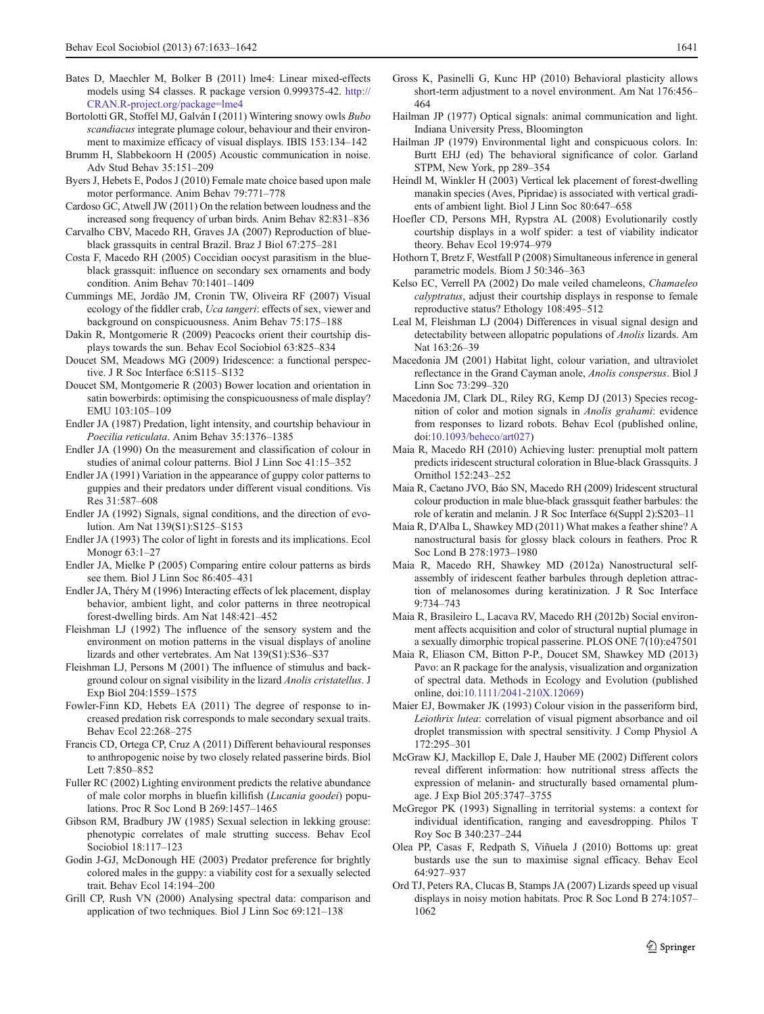- <span id="page-8-0"></span>Bates D, Maechler M, Bolker B (2011) lme4: Linear mixed-effects models using S4 classes. R package version 0.999375-42. [http://](http://cran.r-project.org/package=lme4) [CRAN.R-project.org/package=lme4](http://cran.r-project.org/package=lme4)
- Bortolotti GR, Stoffel MJ, Galván I (2011) Wintering snowy owls Bubo scandiacus integrate plumage colour, behaviour and their environment to maximize efficacy of visual displays. IBIS 153:134–142
- Brumm H, Slabbekoorn H (2005) Acoustic communication in noise. Adv Stud Behav 35:151–209
- Byers J, Hebets E, Podos J (2010) Female mate choice based upon male motor performance. Anim Behav 79:771–778
- Cardoso GC, Atwell JW (2011) On the relation between loudness and the increased song frequency of urban birds. Anim Behav 82:831–836
- Carvalho CBV, Macedo RH, Graves JA (2007) Reproduction of blueblack grassquits in central Brazil. Braz J Biol 67:275–281
- Costa F, Macedo RH (2005) Coccidian oocyst parasitism in the blueblack grassquit: influence on secondary sex ornaments and body condition. Anim Behav 70:1401–1409
- Cummings ME, Jordão JM, Cronin TW, Oliveira RF (2007) Visual ecology of the fiddler crab, Uca tangeri: effects of sex, viewer and background on conspicuousness. Anim Behav 75:175–188
- Dakin R, Montgomerie R (2009) Peacocks orient their courtship displays towards the sun. Behav Ecol Sociobiol 63:825–834
- Doucet SM, Meadows MG (2009) Iridescence: a functional perspective. J R Soc Interface 6:S115–S132
- Doucet SM, Montgomerie R (2003) Bower location and orientation in satin bowerbirds: optimising the conspicuousness of male display? EMU 103:105–109
- Endler JA (1987) Predation, light intensity, and courtship behaviour in Poecilia reticulata. Anim Behav 35:1376–1385
- Endler JA (1990) On the measurement and classification of colour in studies of animal colour patterns. Biol J Linn Soc 41:15–352
- Endler JA (1991) Variation in the appearance of guppy color patterns to guppies and their predators under different visual conditions. Vis Res 31:587–608
- Endler JA (1992) Signals, signal conditions, and the direction of evolution. Am Nat 139(S1):S125–S153
- Endler JA (1993) The color of light in forests and its implications. Ecol Monogr 63:1–27
- Endler JA, Mielke P (2005) Comparing entire colour patterns as birds see them. Biol J Linn Soc 86:405–431
- Endler JA, Théry M (1996) Interacting effects of lek placement, display behavior, ambient light, and color patterns in three neotropical forest-dwelling birds. Am Nat 148:421–452
- Fleishman LJ (1992) The influence of the sensory system and the environment on motion patterns in the visual displays of anoline lizards and other vertebrates. Am Nat 139(S1):S36–S37
- Fleishman LJ, Persons M (2001) The influence of stimulus and background colour on signal visibility in the lizard Anolis cristatellus. J Exp Biol 204:1559–1575
- Fowler-Finn KD, Hebets EA (2011) The degree of response to increased predation risk corresponds to male secondary sexual traits. Behav Ecol 22:268–275
- Francis CD, Ortega CP, Cruz A (2011) Different behavioural responses to anthropogenic noise by two closely related passerine birds. Biol Lett 7:850–852
- Fuller RC (2002) Lighting environment predicts the relative abundance of male color morphs in bluefin killifish (Lucania goodei) populations. Proc R Soc Lond B 269:1457–1465
- Gibson RM, Bradbury JW (1985) Sexual selection in lekking grouse: phenotypic correlates of male strutting success. Behav Ecol Sociobiol 18:117–123
- Godin J-GJ, McDonough HE (2003) Predator preference for brightly colored males in the guppy: a viability cost for a sexually selected trait. Behav Ecol 14:194–200
- Grill CP, Rush VN (2000) Analysing spectral data: comparison and application of two techniques. Biol J Linn Soc 69:121–138
- Gross K, Pasinelli G, Kunc HP (2010) Behavioral plasticity allows short-term adjustment to a novel environment. Am Nat 176:456– 464
- Hailman JP (1977) Optical signals: animal communication and light. Indiana University Press, Bloomington
- Hailman JP (1979) Environmental light and conspicuous colors. In: Burtt EHJ (ed) The behavioral significance of color. Garland STPM, New York, pp 289–354
- Heindl M, Winkler H (2003) Vertical lek placement of forest-dwelling manakin species (Aves, Pipridae) is associated with vertical gradients of ambient light. Biol J Linn Soc 80:647–658
- Hoefler CD, Persons MH, Rypstra AL (2008) Evolutionarily costly courtship displays in a wolf spider: a test of viability indicator theory. Behav Ecol 19:974–979
- Hothorn T, Bretz F, Westfall P (2008) Simultaneous inference in general parametric models. Biom J 50:346–363
- Kelso EC, Verrell PA (2002) Do male veiled chameleons, Chamaeleo calyptratus, adjust their courtship displays in response to female reproductive status? Ethology 108:495–512
- Leal M, Fleishman LJ (2004) Differences in visual signal design and detectability between allopatric populations of Anolis lizards. Am Nat 163:26–39
- Macedonia JM (2001) Habitat light, colour variation, and ultraviolet reflectance in the Grand Cayman anole, Anolis conspersus. Biol J Linn Soc 73:299–320
- Macedonia JM, Clark DL, Riley RG, Kemp DJ (2013) Species recognition of color and motion signals in Anolis grahami: evidence from responses to lizard robots. Behav Ecol (published online, doi[:10.1093/beheco/art027\)](http://dx.doi.org/10.1093/beheco/art027)
- Maia R, Macedo RH (2010) Achieving luster: prenuptial molt pattern predicts iridescent structural coloration in Blue-black Grassquits. J Ornithol 152:243–252
- Maia R, Caetano JVO, Báo SN, Macedo RH (2009) Iridescent structural colour production in male blue-black grassquit feather barbules: the role of keratin and melanin. J R Soc Interface 6(Suppl 2):S203–11
- Maia R, D'Alba L, Shawkey MD (2011) What makes a feather shine? A nanostructural basis for glossy black colours in feathers. Proc R Soc Lond B 278:1973–1980
- Maia R, Macedo RH, Shawkey MD (2012a) Nanostructural selfassembly of iridescent feather barbules through depletion attraction of melanosomes during keratinization. J R Soc Interface 9:734–743
- Maia R, Brasileiro L, Lacava RV, Macedo RH (2012b) Social environment affects acquisition and color of structural nuptial plumage in a sexually dimorphic tropical passerine. PLOS ONE 7(10):e47501
- Maia R, Eliason CM, Bitton P-P., Doucet SM, Shawkey MD (2013) Pavo: an R package for the analysis, visualization and organization of spectral data. Methods in Ecology and Evolution (published online, doi:[10.1111/2041-210X.12069](http://dx.doi.org/10.1111/2041-210X.12069))
- Maier EJ, Bowmaker JK (1993) Colour vision in the passeriform bird, Leiothrix lutea: correlation of visual pigment absorbance and oil droplet transmission with spectral sensitivity. J Comp Physiol A 172:295–301
- McGraw KJ, Mackillop E, Dale J, Hauber ME (2002) Different colors reveal different information: how nutritional stress affects the expression of melanin- and structurally based ornamental plumage. J Exp Biol 205:3747–3755
- McGregor PK (1993) Signalling in territorial systems: a context for individual identification, ranging and eavesdropping. Philos T Roy Soc B 340:237–244
- Olea PP, Casas F, Redpath S, Viñuela J (2010) Bottoms up: great bustards use the sun to maximise signal efficacy. Behav Ecol 64:927–937
- Ord TJ, Peters RA, Clucas B, Stamps JA (2007) Lizards speed up visual displays in noisy motion habitats. Proc R Soc Lond B 274:1057– 1062